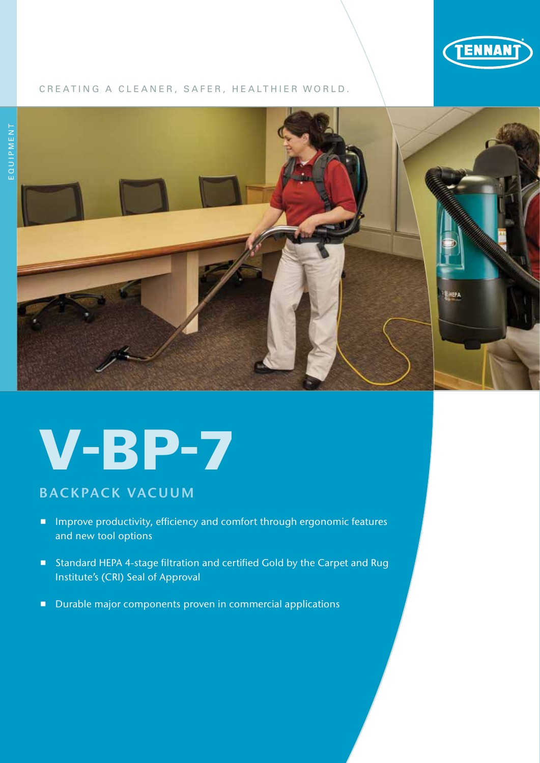

## CREATING A CLEANER, SAFER, HEALTHIER WORLD.



# V-BP-7

# BACKPACK VACUUM

- **IMP** Improve productivity, efficiency and comfort through ergonomic features and new tool options
- Standard HEPA 4-stage filtration and certified Gold by the Carpet and Rug Institute's (CRI) Seal of Approval
- Durable major components proven in commercial applications